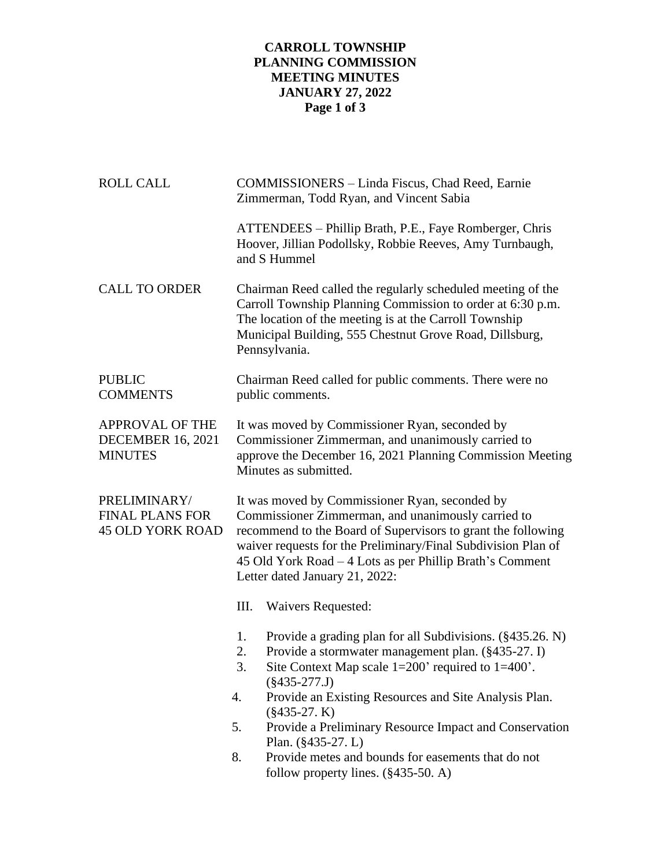## **CARROLL TOWNSHIP PLANNING COMMISSION MEETING MINUTES JANUARY 27, 2022 Page 1 of 3**

|                                                                                                                                                                                                                                                                                                                                     | COMMISSIONERS - Linda Fiscus, Chad Reed, Earnie<br>Zimmerman, Todd Ryan, and Vincent Sabia                                                                                                                                                                                                                                                                                                                                                                |  |
|-------------------------------------------------------------------------------------------------------------------------------------------------------------------------------------------------------------------------------------------------------------------------------------------------------------------------------------|-----------------------------------------------------------------------------------------------------------------------------------------------------------------------------------------------------------------------------------------------------------------------------------------------------------------------------------------------------------------------------------------------------------------------------------------------------------|--|
|                                                                                                                                                                                                                                                                                                                                     | ATTENDEES - Phillip Brath, P.E., Faye Romberger, Chris<br>Hoover, Jillian Podollsky, Robbie Reeves, Amy Turnbaugh,<br>and S Hummel                                                                                                                                                                                                                                                                                                                        |  |
|                                                                                                                                                                                                                                                                                                                                     | Chairman Reed called the regularly scheduled meeting of the<br>Carroll Township Planning Commission to order at 6:30 p.m.<br>The location of the meeting is at the Carroll Township<br>Municipal Building, 555 Chestnut Grove Road, Dillsburg,<br>Pennsylvania.                                                                                                                                                                                           |  |
| Chairman Reed called for public comments. There were no<br>public comments.                                                                                                                                                                                                                                                         |                                                                                                                                                                                                                                                                                                                                                                                                                                                           |  |
| It was moved by Commissioner Ryan, seconded by<br>Commissioner Zimmerman, and unanimously carried to<br>approve the December 16, 2021 Planning Commission Meeting<br>Minutes as submitted.                                                                                                                                          |                                                                                                                                                                                                                                                                                                                                                                                                                                                           |  |
| It was moved by Commissioner Ryan, seconded by<br>Commissioner Zimmerman, and unanimously carried to<br>recommend to the Board of Supervisors to grant the following<br>waiver requests for the Preliminary/Final Subdivision Plan of<br>45 Old York Road – 4 Lots as per Phillip Brath's Comment<br>Letter dated January 21, 2022: |                                                                                                                                                                                                                                                                                                                                                                                                                                                           |  |
| Ш.                                                                                                                                                                                                                                                                                                                                  | Waivers Requested:                                                                                                                                                                                                                                                                                                                                                                                                                                        |  |
| 1.<br>2.<br>3.<br>4.<br>5.<br>8.                                                                                                                                                                                                                                                                                                    | Provide a grading plan for all Subdivisions. (§435.26. N)<br>Provide a stormwater management plan. (§435-27. I)<br>Site Context Map scale $1=200$ ' required to $1=400$ '.<br>$(\$435-277.J)$<br>Provide an Existing Resources and Site Analysis Plan.<br>$(\$435-27. K)$<br>Provide a Preliminary Resource Impact and Conservation<br>Plan. $(\$435-27. L)$<br>Provide metes and bounds for easements that do not<br>follow property lines. (§435-50. A) |  |
|                                                                                                                                                                                                                                                                                                                                     |                                                                                                                                                                                                                                                                                                                                                                                                                                                           |  |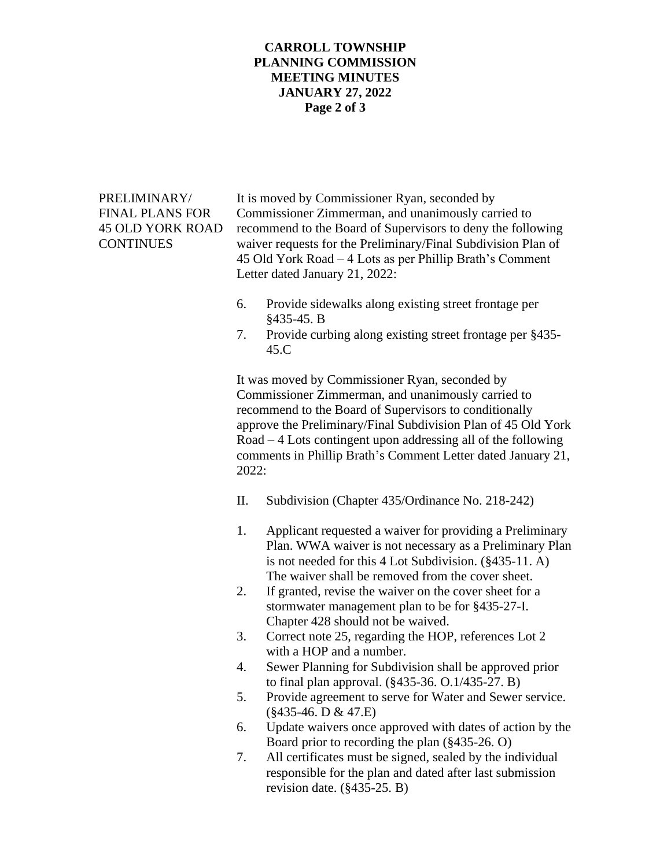## **CARROLL TOWNSHIP PLANNING COMMISSION MEETING MINUTES JANUARY 27, 2022 Page 2 of 3**

PRELIMINARY/ It is moved by Commissioner Ryan, seconded by FINAL PLANS FOR Commissioner Zimmerman, and unanimously carried to 45 OLD YORK ROAD recommend to the Board of Supervisors to deny the following CONTINUES waiver requests for the Preliminary/Final Subdivision Plan of 45 Old York Road – 4 Lots as per Phillip Brath's Comment Letter dated January 21, 2022:

- 6. Provide sidewalks along existing street frontage per §435-45. B
- 7. Provide curbing along existing street frontage per §435- 45.C

It was moved by Commissioner Ryan, seconded by Commissioner Zimmerman, and unanimously carried to recommend to the Board of Supervisors to conditionally approve the Preliminary/Final Subdivision Plan of 45 Old York Road – 4 Lots contingent upon addressing all of the following comments in Phillip Brath's Comment Letter dated January 21, 2022:

- II. Subdivision (Chapter 435/Ordinance No. 218-242)
- 1. Applicant requested a waiver for providing a Preliminary Plan. WWA waiver is not necessary as a Preliminary Plan is not needed for this 4 Lot Subdivision. (§435-11. A) The waiver shall be removed from the cover sheet.
- 2. If granted, revise the waiver on the cover sheet for a stormwater management plan to be for §435-27-I. Chapter 428 should not be waived.
- 3. Correct note 25, regarding the HOP, references Lot 2 with a HOP and a number.
- 4. Sewer Planning for Subdivision shall be approved prior to final plan approval. (§435-36. O.1/435-27. B)
- 5. Provide agreement to serve for Water and Sewer service. (§435-46. D & 47.E)
- 6. Update waivers once approved with dates of action by the Board prior to recording the plan (§435-26. O)
- 7. All certificates must be signed, sealed by the individual responsible for the plan and dated after last submission revision date. (§435-25. B)